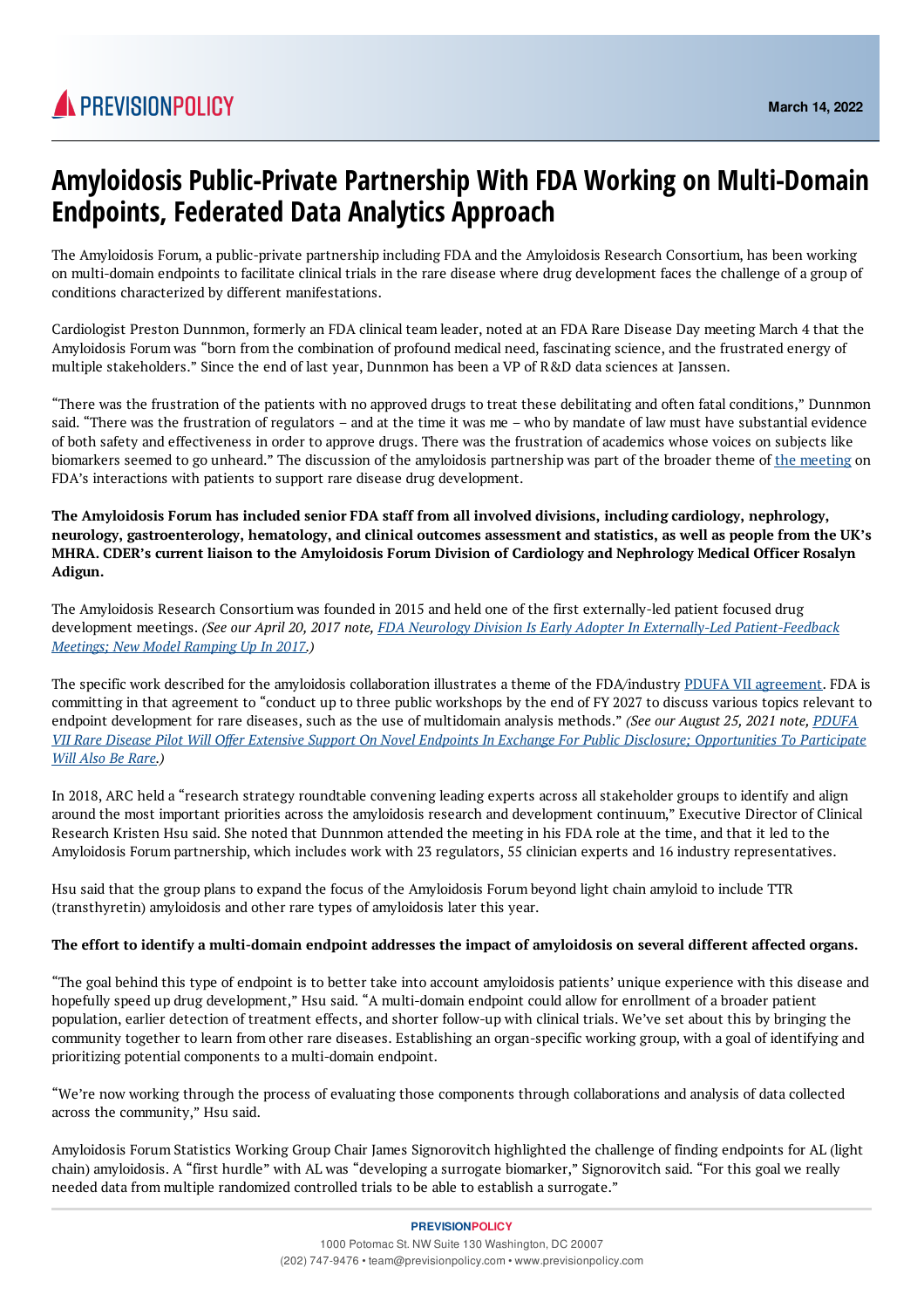

## **Amyloidosis Public-Private Partnership With FDA Working on Multi-Domain Endpoints, Federated Data Analytics Approach**

The Amyloidosis Forum, a public-private partnership including FDA and the Amyloidosis Research Consortium, has been working on multi-domain endpoints to facilitate clinical trials in the rare disease where drug development faces the challenge of a group of conditions characterized by different manifestations.

Cardiologist Preston Dunnmon, formerly an FDA clinical team leader, noted at an FDA Rare Disease Day meeting March 4 that the Amyloidosis Forum was "born from the combination of profound medical need, fascinating science, and the frustrated energy of multiple stakeholders." Since the end of last year, Dunnmon has been a VP of R&D data sciences at Janssen.

"There was the frustration of the patients with no approved drugs to treat these debilitating and often fatal conditions," Dunnmon said. "There was the frustration of regulators – and at the time it was me – who by mandate of law must have substantial evidence of both safety and effectiveness in order to approve drugs. There was the frustration of academics whose voices on subjects like biomarkers seemed to go unheard." The discussion of the amyloidosis partnership was part of the broader theme of the [meeting](https://www.fda.gov/news-events/fda-meetings-conferences-and-workshops/public-meeting-fda-rare-disease-day-2022-03042022) on FDA's interactions with patients to support rare disease drug development.

**The Amyloidosis Forum has included senior FDA staff from all involved divisions, including cardiology, nephrology,** neurology, gastroenterology, hematology, and clinical outcomes assessment and statistics, as well as people from the UK's MHRA. CDER's current liaison to the Amyloidosis Forum Division of Cardiology and Nephrology Medical Officer Rosalyn **Adigun.**

The Amyloidosis Research Consortium was founded in 2015 and held one of the first externally-led patient focused drug development meetings. (See our April 20, 2017 note, FDA Neurology Division Is Early Adopter In Externally-Led [Patient-Feedback](file:///C%3A/Users/colew/AppData/Local/Microsoft/Windows/INetCache/Content.Outlook/16VHLI5R/FDA Neurology Division Is Early Adopter In Externally-Led Patient-Feedback Meetings; New Model Ramping Up In 2017) *Meetings; New Model Ramping Up In 2017.)*

The specific work described for the amyloidosis collaboration illustrates a theme of the FDA/industry PDUFA VII [agreement](https://www.fda.gov/media/151712/download). FDA is committing in that agreement to "conduct up to three public workshops by the end of FY 2027 to discuss various topics relevant to endpoint development for rare diseases, such as the use of multidomain analysis methods." *(See our August 25, 2021 note, PDUFA* VII Rare Disease Pilot Will Offer Extensive Support On Novel Endpoints In Exchange For Public Disclosure; [Opportunities](https://www.previsionpolicy.com/pdufa-vii-rare-disease-pilot-will-offer-extensive-support-on-novel-endpoints-in-exchange-for-public-disclosure-opportunities-to-participate-will-also-be-rare) To Participate *Will Also Be Rare.)*

In 2018, ARC held a "research strategy roundtable convening leading experts across all stakeholder groups to identify and align around the most important priorities across the amyloidosis research and development continuum," Executive Director of Clinical Research Kristen Hsu said. She noted that Dunnmon attended the meeting in his FDA role at the time, and that it led to the Amyloidosis Forum partnership, which includes work with 23 regulators, 55 clinician experts and 16 industry representatives.

Hsu said that the group plans to expand the focus of the Amyloidosis Forum beyond light chain amyloid to include TTR (transthyretin) amyloidosis and other rare types of amyloidosis later this year.

## The effort to identify a multi-domain endpoint addresses the impact of amyloidosis on several different affected organs.

"The goal behind this type of endpoint is to better take into account amyloidosis patients' unique experience with this disease and hopefully speed up drug development," Hsu said. "A multi-domain endpoint could allow for enrollment of a broader patient population, earlier detection of treatment effects, and shorter follow-up with clinical trials. We've set about this by bringing the community together to learn from other rare diseases. Establishing an organ-specific working group, with a goal of identifying and prioritizing potential components to a multi-domain endpoint.

"We're now working through the process of evaluating those components through collaborations and analysis of data collected across the community," Hsu said.

Amyloidosis Forum Statistics Working Group Chair James Signorovitch highlighted the challenge of finding endpoints for AL (light chain) amyloidosis. A "first hurdle" with AL was "developing a surrogate biomarker," Signorovitch said. "For this goal we really needed data from multiple randomized controlled trials to be able to establish a surrogate."

## **PREVISIONPOLICY**